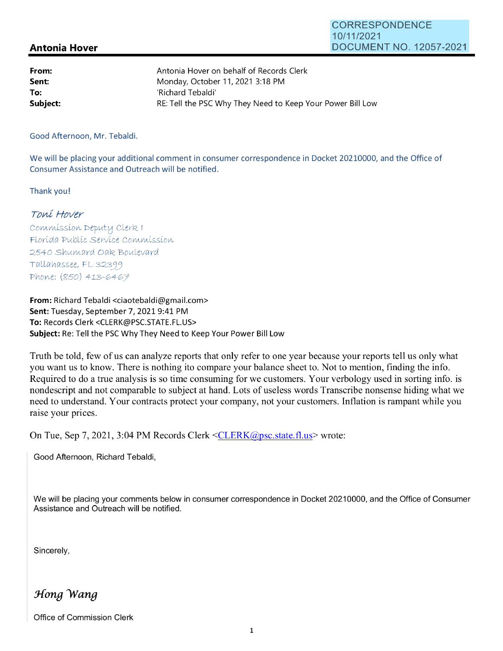## CORRESPONDENCE 10/11/2021 DOCUMENT NO. 12057-2021

## **Antonia Hover**

| From:    | Antonia Hover on behalf of Records Clerk                   |
|----------|------------------------------------------------------------|
| Sent:    | Monday, October 11, 2021 3:18 PM                           |
| To:      | 'Richard Tebaldi'                                          |
| Subject: | RE: Tell the PSC Why They Need to Keep Your Power Bill Low |

Good Afternoon, Mr. Tebaldi.

We will be placing your additional comment in consumer correspondence in Docket 20210000, and the Office of Consumer Assistance and Outreach will be notified.

Thank you!

## Toní Hover

Commission Deputy Clerk I Florída Publíc Servíce Commission 2540 Shumard Oak Boulevard Tallahassee, FL 32399 Phone: (850) 413-6467

**From:** Richard Tebaldi <ciaotebaldi@gmail.com> **Sent:** Tuesday, September 7, 2021 9:41 PM **To:** Records Clerk <CLERK@PSC.STATE.FL.US> **Subject:** Re: Tell the PSC Why They Need to Keep Your Power Bill Low

Truth be told, few of us can analyze reports that only refer to one year because your reports tell us only what you want us to know. There is nothing ito compare your balance sheet to. Not to mention, finding the info. Required to do a true analysis is so time consuming for we customers. Your verbology used in sorting info. is nondescript and not comparable to subject at hand. Lots of useless words Transcribe nonsense hiding what we need to understand. Your contracts protect your company, not your customers. Inflation is rampant while you raise your prices.

On Tue, Sep 7, 2021, 3:04 PM Records Clerk <CLERK@psc.state.fl.us> wrote:

Good Afternoon, Richard Tebaldi,

We will be placing your comments below in consumer correspondence in Docket 20210000, and the Office of Consumer Assistance and Outreach will be notified.

Sincerely,

Hong Wang

Office of Commission Clerk